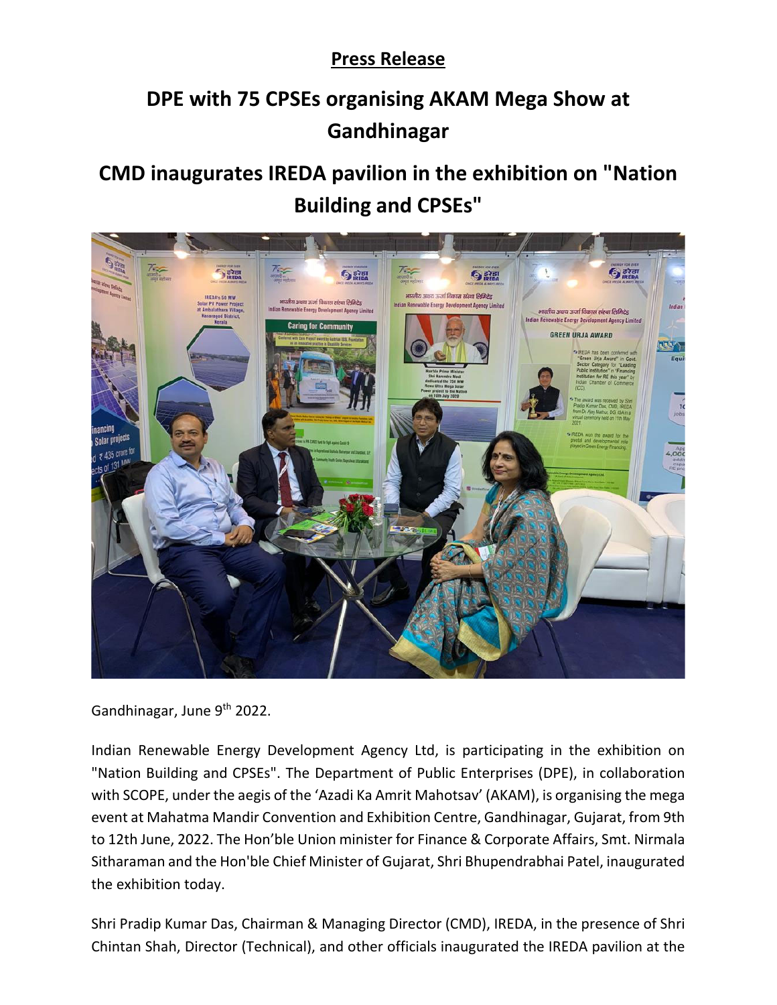## **Press Release**

## **DPE with 75 CPSEs organising AKAM Mega Show at Gandhinagar**

## **CMD inaugurates IREDA pavilion in the exhibition on "Nation Building and CPSEs"**



Gandhinagar, June 9<sup>th</sup> 2022.

Indian Renewable Energy Development Agency Ltd, is participating in the exhibition on "Nation Building and CPSEs". The Department of Public Enterprises (DPE), in collaboration with SCOPE, under the aegis of the 'Azadi Ka Amrit Mahotsav' (AKAM), is organising the mega event at Mahatma Mandir Convention and Exhibition Centre, Gandhinagar, Gujarat, from 9th to 12th June, 2022. The Hon'ble Union minister for Finance & Corporate Affairs, Smt. Nirmala Sitharaman and the Hon'ble Chief Minister of Gujarat, Shri Bhupendrabhai Patel, inaugurated the exhibition today.

Shri Pradip Kumar Das, Chairman & Managing Director (CMD), IREDA, in the presence of Shri Chintan Shah, Director (Technical), and other officials inaugurated the IREDA pavilion at the